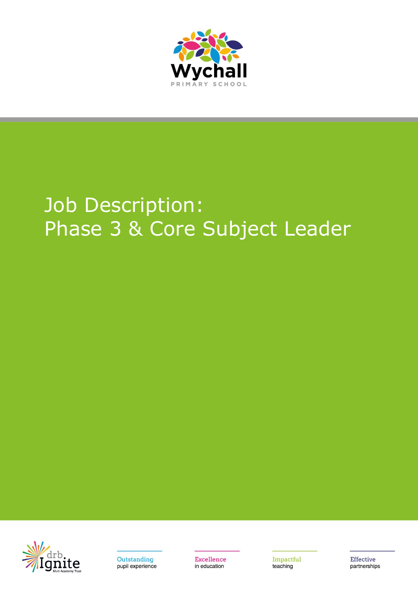

# Job Description: Phase 3 & Core Subject Leader





**Excellence** in education

Impactful teaching

**Effective** partnerships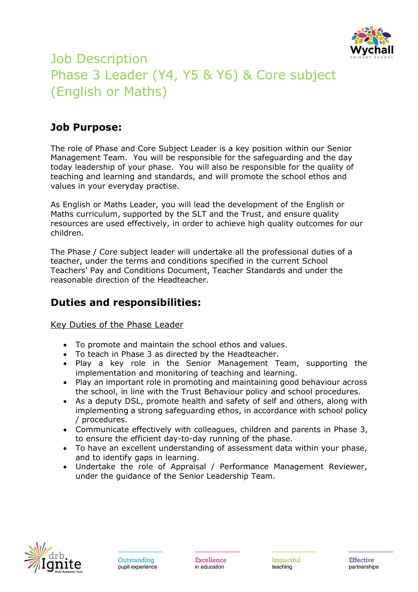

## Job Description Phase 3 Leader (Y4, Y5 & Y6) & Core subject (English or Maths)

## **Job Purpose:**

The role of Phase and Core Subject Leader is a key position within our Senior Management Team. You will be responsible for the safeguarding and the day today leadership of your phase. You will also be responsible for the quality of teaching and learning and standards, and will promote the school ethos and values in your everyday practise.

As English or Maths Leader, you will lead the development of the English or Maths curriculum, supported by the SLT and the Trust, and ensure quality resources are used effectively, in order to achieve high quality outcomes for our children.

The Phase / Core subject leader will undertake all the professional duties of a teacher, under the terms and conditions specified in the current School Teachers' Pay and Conditions Document, Teacher Standards and under the reasonable direction of the Headteacher.

## **Duties and responsibilities:**

Key Duties of the Phase Leader

- To promote and maintain the school ethos and values.
- To teach in Phase 3 as directed by the Headteacher.
- Play a key role in the Senior Management Team, supporting the implementation and monitoring of teaching and learning.
- Play an important role in promoting and maintaining good behaviour across the school, in line with the Trust Behaviour policy and school procedures.
- As a deputy DSL, promote health and safety of self and others, along with implementing a strong safeguarding ethos, in accordance with school policy / procedures.
- Communicate effectively with colleagues, children and parents in Phase 3, to ensure the efficient day-to-day running of the phase.
- To have an excellent understanding of assessment data within your phase, and to identify gaps in learning.
- Undertake the role of Appraisal / Performance Management Reviewer, under the guidance of the Senior Leadership Team.

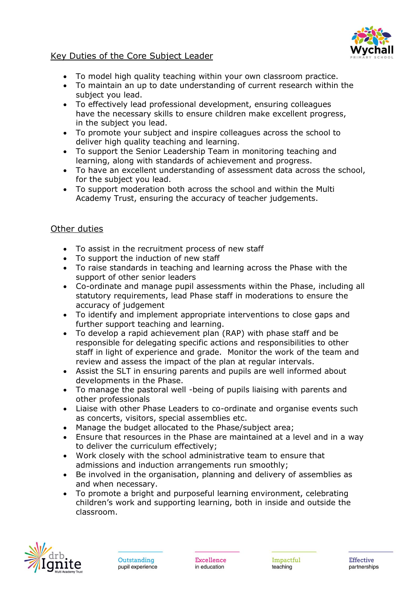

#### Key Duties of the Core Subject Leader

- To model high quality teaching within your own classroom practice.
- To maintain an up to date understanding of current research within the subject you lead.
- To effectively lead professional development, ensuring colleagues have the necessary skills to ensure children make excellent progress, in the subject you lead.
- To promote your subject and inspire colleagues across the school to deliver high quality teaching and learning.
- To support the Senior Leadership Team in monitoring teaching and learning, along with standards of achievement and progress.
- To have an excellent understanding of assessment data across the school, for the subject you lead.
- To support moderation both across the school and within the Multi Academy Trust, ensuring the accuracy of teacher judgements.

#### Other duties

- To assist in the recruitment process of new staff
- To support the induction of new staff
- To raise standards in teaching and learning across the Phase with the support of other senior leaders
- Co-ordinate and manage pupil assessments within the Phase, including all statutory requirements, lead Phase staff in moderations to ensure the accuracy of judgement
- To identify and implement appropriate interventions to close gaps and further support teaching and learning.
- To develop a rapid achievement plan (RAP) with phase staff and be responsible for delegating specific actions and responsibilities to other staff in light of experience and grade. Monitor the work of the team and review and assess the impact of the plan at regular intervals.
- Assist the SLT in ensuring parents and pupils are well informed about developments in the Phase.
- To manage the pastoral well -being of pupils liaising with parents and other professionals
- Liaise with other Phase Leaders to co-ordinate and organise events such as concerts, visitors, special assemblies etc.
- Manage the budget allocated to the Phase/subject area;
- Ensure that resources in the Phase are maintained at a level and in a way to deliver the curriculum effectively;
- Work closely with the school administrative team to ensure that admissions and induction arrangements run smoothly;
- Be involved in the organisation, planning and delivery of assemblies as and when necessary.
- To promote a bright and purposeful learning environment, celebrating children's work and supporting learning, both in inside and outside the classroom.